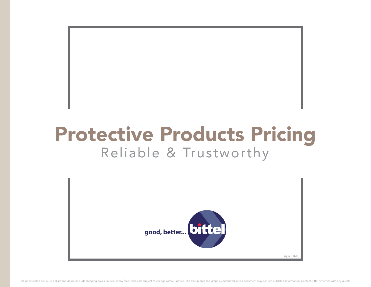## Protective Products Pricing Reliable & Trustworthy